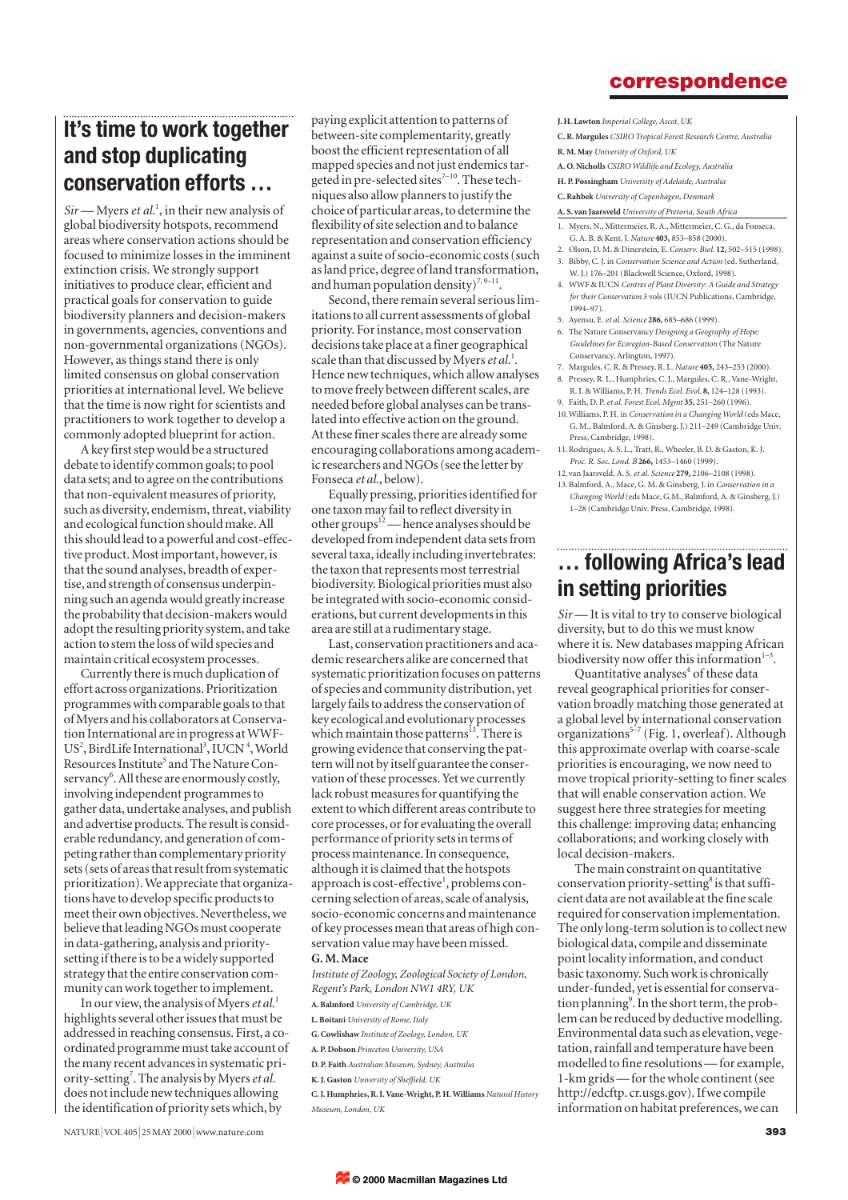### **correspondence**

# **It's time to work together and stop duplicating conservation efforts …**

*Sir* — Myers *et al.*<sup>1</sup> , in their new analysis of global biodiversity hotspots, recommend areas where conservation actions should be focused to minimize losses in the imminent extinction crisis. We strongly support initiatives to produce clear, efficient and practical goals for conservation to guide biodiversity planners and decision-makers in governments, agencies, conventions and non-governmental organizations (NGOs). However, as things stand there is only limited consensus on global conservation priorities at international level. We believe that the time is now right for scientists and practitioners to work together to develop a commonly adopted blueprint for action.

A key first step would be a structured debate to identify common goals; to pool data sets; and to agree on the contributions that non-equivalent measures of priority, such as diversity, endemism, threat, viability and ecological function should make. All this should lead to a powerful and cost-effective product. Most important, however, is that the sound analyses, breadth of expertise, and strength of consensus underpinning such an agenda would greatly increase the probability that decision-makers would adopt the resulting priority system, and take action to stem the loss of wild species and maintain critical ecosystem processes.

Currently there is much duplication of effort across organizations. Prioritization programmes with comparable goals to that of Myers and his collaborators at Conservation International are in progress at WWF-US<sup>2</sup>, BirdLife International<sup>3</sup>, IUCN<sup>4</sup>, World Resources Institute<sup>5</sup> and The Nature Conservancy<sup>6</sup>. All these are enormously costly, involving independent programmes to gather data, undertake analyses, and publish and advertise products. The result is considerable redundancy, and generation of competing rather than complementary priority sets (sets of areas that result from systematic prioritization). We appreciate that organizations have to develop specific products to meet their own objectives. Nevertheless, we believe that leading NGOs must cooperate in data-gathering, analysis and prioritysetting if there is to be a widely supported strategy that the entire conservation community can work together to implement.

In our view, the analysis of Myers *et al.*<sup>1</sup> highlights several other issues that must be addressed in reaching consensus. First, a coordinated programme must take account of the many recent advances in systematic priority-setting<sup>7</sup>. The analysis by Myers et al. does not include new techniques allowing the identification of priority sets which, by

paying explicit attention to patterns of between-site complementarity, greatly boost the efficient representation of all mapped species and not just endemics targeted in pre-selected sites<sup>7-10</sup>. These techniques also allow planners to justify the choice of particular areas, to determine the flexibility of site selection and to balance representation and conservation efficiency against a suite of socio-economic costs (such as land price, degree of land transformation, and human population density)<sup>7, 9–11</sup>

Second, there remain several serious limitations to all current assessments of global priority. For instance, most conservation decisions take place at a finer geographical scale than that discussed by Myers et al.<sup>1</sup>. Hence new techniques, which allow analyses to move freely between different scales, are needed before global analyses can be translated into effective action on the ground. At these finer scales there are already some encouraging collaborations among academic researchers and NGOs (see the letter by Fonseca *et al.*, below).

Equally pressing, priorities identified for one taxon may fail to reflect diversity in other groups<sup>12</sup>— hence analyses should be developed from independent data sets from several taxa, ideally including invertebrates: the taxon that represents most terrestrial biodiversity. Biological priorities must also be integrated with socio-economic considerations, but current developments in this area are still at a rudimentary stage.

Last, conservation practitioners and academic researchers alike are concerned that systematic prioritization focuses on patterns of species and community distribution, yet largely fails to address the conservation of key ecological and evolutionary processes which maintain those patterns $^{13}$ . There is growing evidence that conserving the pattern will not by itself guarantee the conservation of these processes. Yet we currently lack robust measures for quantifying the extent to which different areas contribute to core processes, or for evaluating the overall performance of priority sets in terms of process maintenance. In consequence, although it is claimed that the hotspots approach is cost-effective<sup>1</sup>, problems concerning selection of areas, scale of analysis, socio-economic concerns and maintenance of key processes mean that areas of high conservation value may have been missed. **G. M. Mace**

*Institute of Zoology, Zoological Society of London, Regent's Park, London NW1 4RY, UK* 

**A. Balmford** *University of Cambridge, UK*

- **L. Boitani** *University of Rome, Italy*
- **G. Cowlishaw** *Institute of Zoology, London, UK*
- **A. P. Dobson** *Princeton University, USA*
- **D. P. Faith** *Australian Museum, Sydney, Australia*
- **K. J. Gaston** *University of Sheffield, UK*

**C. J. Humphries, R. I. Vane-Wright, P. H. Williams** *Natural History Museum, London, UK*

**J. H. Lawton** *Imperial College, Ascot, UK*

- **C. R. Margules** *CSIRO Tropical Forest Research Centre, Australia* **R. M. May** *University of Oxford, UK*
- 
- **A. O. Nicholls** *CSIRO Wildlife and Ecology, Australia*
- **H. P. Possingham** *University of Adelaide, Australia*
- **C. Rahbek** *University of Copenhagen, Denmark* **A. S. van Jaarsveld** *University of Pretoria, South Africa*
- 1. Myers, N., Mittermeier, R. A., Mittermeier, C. G., da Fonseca, G. A. B. & Kent, J. *Nature* **403,** 853–858 (2000).
- 2. Olson, D. M. & Dinerstein, E. *Conserv. Biol.* **12,** 502–515 (1998). 3. Bibby, C. J. in *Conservation Science and Action* (ed. Sutherland,
- W. J.) 176–201 (Blackwell Science, Oxford, 1998).
- 4. WWF & IUCN *Centres of Plant Diversity: A Guide and Strategy for their Conservation* 3 vols (IUCN Publications, Cambridge, .<br>1994–97).
- 5. Ayensu, E. *et al. Science* **286,** 685–686 (1999).
- 6. The Nature Conservancy *Designing a Geography of Hope: Guidelines for Ecoregion-Based Conservation* (The Nature Conservancy, Arlington, 1997).
- 7. Margules, C. R. & Pressey, R. L. *Nature* **405,** 243–253 (2000).
- 8. Pressey, R. L., Humphries, C. J., Margules, C. R., Vane-Wright, R. I. & Williams, P. H. *Trends Ecol. Evol.* **8,** 124–128 (1993). 9. Faith, D. P. *et al. Forest Ecol. Mgmt* **35,** 251–260 (1996).
- 10.Williams, P. H. in *Conservation in a Changing World* (eds Mace, G. M., Balmford, A. & Ginsberg, J.) 211–249 (Cambridge Univ. Press, Cambridge, 1998).
- 11.Rodrigues, A. S. L., Tratt, R., Wheeler, B. D. & Gaston, K. J. *Proc. R. Soc. Lond. B* **266,** 1453–1460 (1999). 12.van Jaarsveld, A. S. *et al. Science* **279,** 2106–2108 (1998).
- 13.Balmford, A., Mace, G. M. & Ginsberg, J. in *Conservation in a Changing World* (eds Mace, G.M., Balmford, A. & Ginsberg, J.) 1–28 (Cambridge Univ. Press, Cambridge, 1998).

## **… following Africa's lead in setting priorities**

*Sir* — It is vital to try to conserve biological diversity, but to do this we must know where it is. New databases mapping African biodiversity now offer this information $1-3$ .

Quantitative analyses $4$  of these data reveal geographical priorities for conservation broadly matching those generated at a global level by international conservation organizations<sup>5-7</sup> (Fig. 1, overleaf). Although this approximate overlap with coarse-scale priorities is encouraging, we now need to move tropical priority-setting to finer scales that will enable conservation action. We suggest here three strategies for meeting this challenge: improving data; enhancing collaborations; and working closely with local decision-makers.

The main constraint on quantitative conservation priority-setting<sup>8</sup> is that sufficient data are not available at the fine scale required for conservation implementation. The only long-term solution is to collect new biological data, compile and disseminate point locality information, and conduct basic taxonomy. Such work is chronically under-funded, yet is essential for conservation planning<sup>9</sup>. In the short term, the problem can be reduced by deductive modelling. Environmental data such as elevation, vegetation, rainfall and temperature have been modelled to fine resolutions — for example, 1-km grids — for the whole continent (see http://edcftp. cr.usgs.gov). If we compile information on habitat preferences, we can

NATURE|VOL 405 <sup>|</sup> 25 MAY 2000 <sup>|</sup>www.nature.com **393**